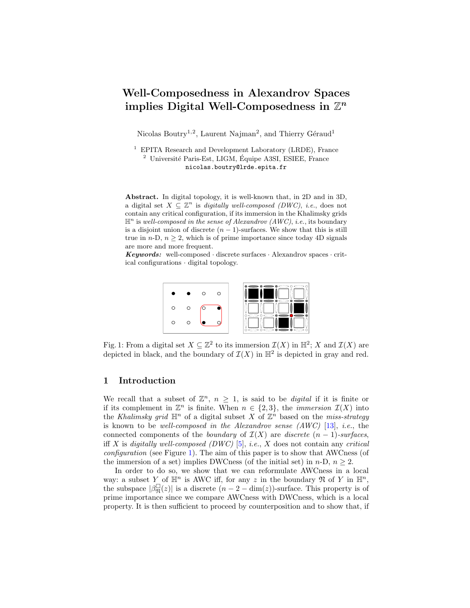# Well-Composedness in Alexandrov Spaces implies Digital Well-Composedness in  $\mathbb{Z}^n$

Nicolas Boutry<sup>1,2</sup>, Laurent Najman<sup>2</sup>, and Thierry Géraud<sup>1</sup>

 $1$  EPITA Research and Development Laboratory (LRDE), France  $^2$  Université Paris-Est, LIGM, Équipe A3SI, ESIEE, France nicolas.boutry@lrde.epita.fr

Abstract. In digital topology, it is well-known that, in 2D and in 3D, a digital set  $X \subseteq \mathbb{Z}^n$  is *digitally well-composed (DWC)*, *i.e.*, does not contain any critical configuration, if its immersion in the Khalimsky grids  $\mathbb{H}^n$  is well-composed in the sense of Alexandrov (AWC), i.e., its boundary is a disjoint union of discrete  $(n - 1)$ -surfaces. We show that this is still true in  $n-D$ ,  $n \geq 2$ , which is of prime importance since today 4D signals are more and more frequent.

<span id="page-0-0"></span>**Keywords:** well-composed  $\cdot$  discrete surfaces  $\cdot$  Alexandrov spaces  $\cdot$  critical configurations · digital topology.



Fig. 1: From a digital set  $X \subseteq \mathbb{Z}^2$  to its immersion  $\mathcal{I}(X)$  in  $\mathbb{H}^2$ ; X and  $\mathcal{I}(X)$  are depicted in black, and the boundary of  $\mathcal{I}(X)$  in  $\mathbb{H}^2$  is depicted in gray and red.

### 1 Introduction

We recall that a subset of  $\mathbb{Z}^n$ ,  $n \geq 1$ , is said to be *digital* if it is finite or if its complement in  $\mathbb{Z}^n$  is finite. When  $n \in \{2,3\}$ , the *immersion*  $\mathcal{I}(X)$  into the Khalimsky grid  $\mathbb{H}^n$  of a digital subset X of  $\mathbb{Z}^n$  based on the miss-strategy is known to be well-composed in the Alexandrov sense (AWC) [\[13\]](#page-11-0), i.e., the connected components of the *boundary* of  $\mathcal{I}(X)$  are *discrete*  $(n-1)$ -surfaces, iff X is digitally well-composed  $(DWC)$  [\[5\]](#page-11-1), i.e., X does not contain any critical configuration (see Figure [1\)](#page-0-0). The aim of this paper is to show that AWCness (of the immersion of a set) implies DWCness (of the initial set) in  $n-D$ ,  $n \geq 2$ .

In order to do so, we show that we can reformulate AWCness in a local way: a subset Y of  $\mathbb{H}^n$  is AWC iff, for any z in the boundary  $\mathfrak{N}$  of Y in  $\mathbb{H}^n$ , the subspace  $|\beta_{\mathfrak{N}}^{\square}(z)|$  is a discrete  $(n-2-\dim(z))$ -surface. This property is of prime importance since we compare AWCness with DWCness, which is a local property. It is then sufficient to proceed by counterposition and to show that, if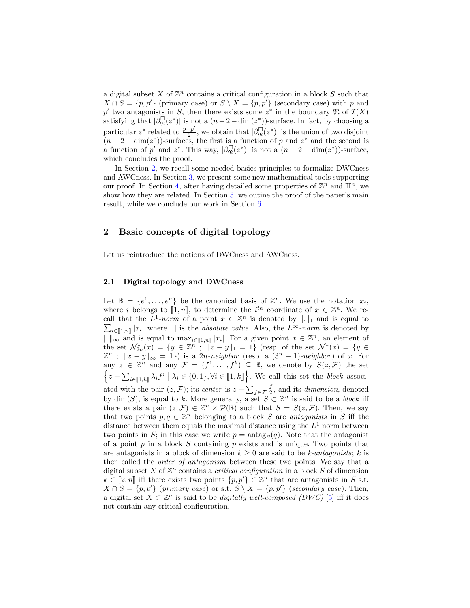a digital subset X of  $\mathbb{Z}^n$  contains a critical configuration in a block S such that  $X \cap S = \{p, p'\}$  (primary case) or  $S \setminus X = \{p, p'\}$  (secondary case) with p and p' two antagonists in S, then there exists some  $z^*$  in the boundary  $\mathfrak{N}$  of  $\mathcal{I}(X)$ satisfying that  $|\beta_{\mathfrak{N}}^{\square}(z^*)|$  is not a  $(n-2-\dim(z^*))$ -surface. In fact, by choosing a particular  $z^*$  related to  $\frac{p+p'}{2}$  $\frac{1+p'}{2}$ , we obtain that  $|\beta_{\mathfrak{N}}^{\square}(z^*)|$  is the union of two disjoint  $(n-2-\dim(z^*))$ -surfaces, the first is a function of p and  $z^*$  and the second is a function of p' and z<sup>\*</sup>. This way,  $|\beta_{\mathfrak{N}}^{\square}(z^*)|$  is not a  $(n-2-\dim(z^*))$ -surface, which concludes the proof.

In Section [2,](#page-1-0) we recall some needed basics principles to formalize DWCness and AWCness. In Section [3,](#page-4-0) we present some new mathematical tools supporting our proof. In Section [4,](#page-8-0) after having detailed some properties of  $\mathbb{Z}^n$  and  $\mathbb{H}^n$ , we show how they are related. In Section [5,](#page-10-0) we outine the proof of the paper's main result, while we conclude our work in Section [6.](#page-11-2)

## <span id="page-1-0"></span>2 Basic concepts of digital topology

Let us reintroduce the notions of DWCness and AWCness.

#### 2.1 Digital topology and DWCness

Let  $\mathbb{B} = \{e^1, \ldots, e^n\}$  be the canonical basis of  $\mathbb{Z}^n$ . We use the notation  $x_i$ , where *i* belongs to  $[[1, n]]$ , to determine the *i*<sup>th</sup> coordinate of  $x \in \mathbb{Z}^n$ . We re-<br>call that the  $L^1$  norm of a point  $x \in \mathbb{Z}^n$  is denoted by  $|| \cdot ||$  and is count to call that the  $L^1$ -norm of a point  $x \in \mathbb{Z}^n$  is denoted by  $\|.\|_1$  and is equal to  $\sum_{i\in[\![1,n]\!]} |x_i|$  where |.| is the *absolute value*. Also, the  $L^{\infty}$ -norm is denoted by  $\|\cdot\|_{\infty}$  and is equal to max<sub>i∈[1,n</sub>] |x<sub>i</sub>|. For a given point  $x \in \mathbb{Z}^n$ , an element of the set  $\mathcal{N}_{2n}^*(x) = \{y \in \mathbb{Z}^n : ||x - y||_1 = 1\}$  (resp. of the set  $\mathcal{N}^*(x) = \{y \in$  $\mathbb{Z}^n$ ;  $||x-y||_{\infty} = 1$ ) is a 2n-neighbor (resp. a  $(3^n - 1)$ -neighbor) of x. For any  $z \in \mathbb{Z}^n$  and any  $\mathcal{F} = (f^1, \ldots, f^k) \subseteq \mathbb{B}$ , we denote by  $S(z, \mathcal{F})$  the set  $\left\{z+\sum_{i\in\llbracket 1,k\rrbracket}\lambda_if^i\bigm| \lambda_i\in\{0,1\},\forall i\in\llbracket 1,k\rrbracket\right\}$ . We call this set the block associated with the pair  $(z, \mathcal{F})$ ; its *center* is  $z + \sum_{f \in \mathcal{F}} \frac{f}{2}$ , and its *dimension*, denoted by  $\dim(S)$ , is equal to k. More generally, a set  $S \subset \mathbb{Z}^n$  is said to be a block iff there exists a pair  $(z, \mathcal{F}) \in \mathbb{Z}^n \times \mathcal{P}(\mathbb{B})$  such that  $S = S(z, \mathcal{F})$ . Then, we say that two points  $p, q \in \mathbb{Z}^n$  belonging to a block S are antagonists in S iff the distance between them equals the maximal distance using the  $L^1$  norm between two points in S; in this case we write  $p = \text{antag}_S(q)$ . Note that the antagonist of a point  $p$  in a block  $S$  containing  $p$  exists and is unique. Two points that are antagonists in a block of dimension  $k \geq 0$  are said to be k-antagonists; k is then called the order of antagonism between these two points. We say that a digital subset X of  $\mathbb{Z}^n$  contains a *critical configuration* in a block S of dimension  $k \in [2, n]$  iff there exists two points  $\{p, p'\} \in \mathbb{Z}^n$  that are antagonists in S s.t.<br> $X \cap S = \{p, p'\}$  (get and  $S \cap S = \{p, p'\}$  (get and get also). Then  $X \cap S = \{p, p'\}$  (primary case) or s.t.  $S \setminus X = \{p, p'\}$  (secondary case). Then, a digital set  $X \subset \mathbb{Z}^n$  is said to be *digitally well-composed (DWC)* [\[5\]](#page-11-1) iff it does not contain any critical configuration.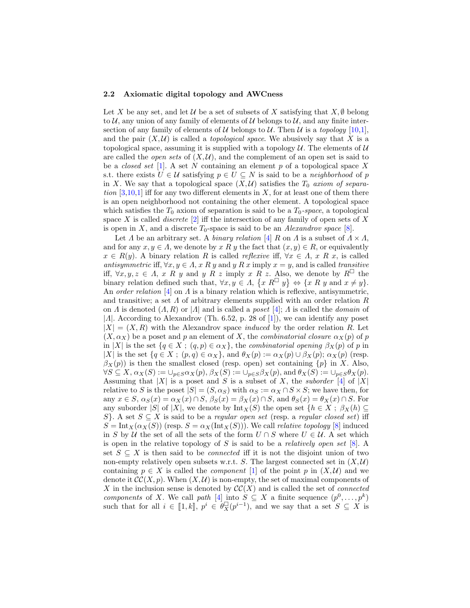#### 2.2 Axiomatic digital topology and AWCness

Let X be any set, and let U be a set of subsets of X satisfying that  $X, \emptyset$  belong to  $\mathcal{U}$ , any union of any family of elements of  $\mathcal{U}$  belongs to  $\mathcal{U}$ , and any finite intersection of any family of elements of U belongs to U. Then U is a topology  $[10,1]$  $[10,1]$ , and the pair  $(X, \mathcal{U})$  is called a *topological space*. We abusively say that X is a topological space, assuming it is supplied with a topology  $U$ . The elements of  $U$ are called the *open sets* of  $(X, \mathcal{U})$ , and the complement of an open set is said to be a *closed set* [\[1\]](#page-11-4). A set N containing an element p of a topological space X s.t. there exists  $U \in \mathcal{U}$  satisfying  $p \in U \subseteq N$  is said to be a neighborhood of p in X. We say that a topological space  $(X,\mathcal{U})$  satisfies the  $T_0$  axiom of separation  $[3,10,1]$  $[3,10,1]$  $[3,10,1]$  iff for any two different elements in X, for at least one of them there is an open neighborhood not containing the other element. A topological space which satisfies the  $T_0$  axiom of separation is said to be a  $T_0$ -space, a topological space X is called *discrete*  $[2]$  iff the intersection of any family of open sets of X is open in X, and a discrete  $T_0$ -space is said to be an *Alexandrov space* [\[8\]](#page-11-7).

Let  $\Lambda$  be an arbitrary set. A *binary relation* [\[4\]](#page-11-8) R on  $\Lambda$  is a subset of  $\Lambda \times \Lambda$ , and for any  $x, y \in A$ , we denote by x R y the fact that  $(x, y) \in R$ , or equivalently  $x \in R(y)$ . A binary relation R is called *reflexive* iff,  $\forall x \in \Lambda$ , x R x, is called antisymmetric iff,  $\forall x, y \in A$ , x R y and y R x imply  $x = y$ , and is called transitive iff,  $\forall x, y, z \in A$ , x R y and y R z imply x R z. Also, we denote by R<sup> $\Box$ </sup> the binary relation defined such that,  $\forall x, y \in A$ ,  $\{x \in \mathbb{R}^{\square} \mid y\} \Leftrightarrow \{x \in \mathbb{R} \mid y \text{ and } x \neq y\}.$ An order relation  $[4]$  on  $\Lambda$  is a binary relation which is reflexive, antisymmetric, and transitive; a set  $\Lambda$  of arbitrary elements supplied with an order relation  $R$ on  $\Lambda$  is denoted  $(A, R)$  or  $|A|$  and is called a *poset*  $[4]$ ;  $\Lambda$  is called the *domain* of | $\Lambda$ |. According to Alexandrov (Th. 6.52, p. 28 of [\[1\]](#page-11-4)), we can identify any poset  $|X| = (X, R)$  with the Alexandrov space *induced* by the order relation R. Let  $(X, \alpha_X)$  be a poset and p an element of X, the *combinatorial closure*  $\alpha_X(p)$  of p in |X| is the set  $\{q \in X : (q, p) \in \alpha_X\}$ , the combinatorial opening  $\beta_X(p)$  of p in |X| is the set  $\{q \in X : (p,q) \in \alpha_X\}$ , and  $\theta_X(p) := \alpha_X(p) \cup \beta_X(p)$ ;  $\alpha_X(p)$  (resp.  $\beta_X(p)$ ) is then the smallest closed (resp. open) set containing  $\{p\}$  in X. Also,  $\forall S \subseteq X$ ,  $\alpha_X(S) := \cup_{p \in S} \alpha_X(p)$ ,  $\beta_X(S) := \cup_{p \in S} \beta_X(p)$ , and  $\theta_X(S) := \cup_{p \in S} \theta_X(p)$ . Assuming that  $|X|$  is a poset and S is a subset of X, the *suborder* [\[4\]](#page-11-8) of |X| relative to S is the poset  $|S| = (S, \alpha_S)$  with  $\alpha_S := \alpha_X \cap S \times S$ ; we have then, for any  $x \in S$ ,  $\alpha_S(x) = \alpha_X(x) \cap S$ ,  $\beta_S(x) = \beta_X(x) \cap S$ , and  $\theta_S(x) = \theta_X(x) \cap S$ . For any suborder |S| of |X|, we denote by  $\text{Int}_X(S)$  the open set  $\{h \in X : \beta_X(h) \subseteq$ S}. A set  $S \subseteq X$  is said to be a *regular open set* (resp. a *regular closed set*) iff  $S = Int_X(\alpha_X(S))$  (resp.  $S = \alpha_X(Int_X(S))$ ). We call *relative topology* [\[8\]](#page-11-7) induced in S by U the set of all the sets of the form  $U \cap S$  where  $U \in U$ . A set which is open in the relative topology of S is said to be a *relatively open set*  $[8]$ . A set  $S \subseteq X$  is then said to be *connected* iff it is not the disjoint union of two non-empty relatively open subsets w.r.t. S. The largest connected set in  $(X, \mathcal{U})$ containing  $p \in X$  is called the *component* [\[1\]](#page-11-4) of the point p in  $(X, \mathcal{U})$  and we denote it  $\mathcal{CC}(X, p)$ . When  $(X, \mathcal{U})$  is non-empty, the set of maximal components of X in the inclusion sense is denoted by  $\mathcal{CC}(X)$  and is called the set of *connected* components of X. We call path [\[4\]](#page-11-8) into  $S \subseteq X$  a finite sequence  $(p^0, \ldots, p^k)$ such that for all  $i \in [1, k]$ ,  $p^i \in \theta_X^{\square}(p^{i-1})$ , and we say that a set  $S \subseteq X$  is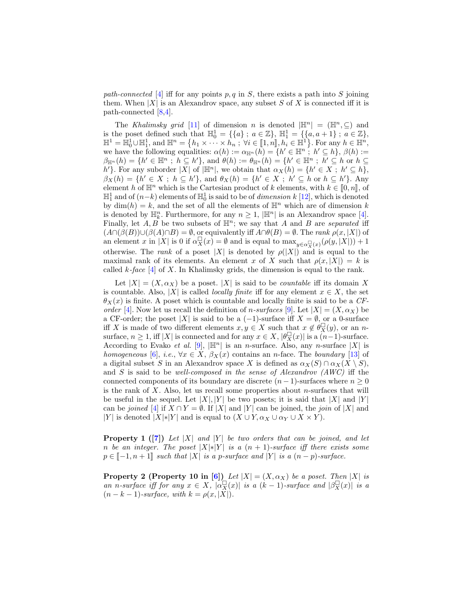path-connected [\[4\]](#page-11-8) iff for any points p, q in S, there exists a path into S joining them. When  $|X|$  is an Alexandrov space, any subset S of X is connected iff it is path-connected [\[8](#page-11-7)[,4\]](#page-11-8).

The Khalimsky grid [\[11\]](#page-11-9) of dimension n is denoted  $|\mathbb{H}^n| = (\mathbb{H}^n, \subseteq)$  and is the poset defined such that  $\mathbb{H}_0^1 = \{ \{a\} : a \in \mathbb{Z} \}, \ \mathbb{H}_1^1 = \{ \{a, a+1\} : a \in \mathbb{Z} \},\$  $\mathbb{H}^1 = \mathbb{H}_0^1 \cup \mathbb{H}_1^1$ , and  $\mathbb{H}^n = \{h_1 \times \cdots \times \widetilde{h_n} : \forall i \in [1, n], h_i \in \mathbb{H}^1\}$ . For any  $h \in \mathbb{H}^n$ ,<br>we have the following couplities:  $c(h) := c_{xx}(h) = f h' \in \mathbb{H}^n : h' \subset h$ ,  $\beta(h) :=$ we have the following equalities:  $\alpha(h) := \alpha_{\mathbb{H}^n}(h) = \{h' \in \mathbb{H}^n : h' \subseteq h\}, \beta(h) :=$  $\beta_{\mathbb{H}^n}(h) = \{h' \in \mathbb{H}^n \, ; \, h \subseteq h'\}, \text{ and } \theta(h) := \theta_{\mathbb{H}^n}(h) = \{h' \in \mathbb{H}^n \, ; \, h' \subseteq h \text{ or } h \subseteq h'\}$ h'}. For any suborder |X| of  $|\mathbb{H}^n|$ , we obtain that  $\alpha_X(h) = \{h' \in X : h' \subseteq h\}$ ,  $\beta_X(h) = \{h' \in X ; h \subseteq h'\},\$ and  $\theta_X(h) = \{h' \in X ; h' \subseteq h \text{ or } h \subseteq h'\}.$  Any element h of  $\mathbb{H}^n$  which is the Cartesian product of k elements, with  $k \in [0, n]$ , of  $\mathbb{H}^1_1$  and of  $(n-k)$  elements of  $\mathbb{H}^1_0$  is said to be of *dimension k* [\[12\]](#page-11-10), which is denoted by  $\dim(h) = k$ , and the set of all the elements of  $\mathbb{H}^n$  which are of dimension k is denoted by  $\mathbb{H}_k^n$ . Furthermore, for any  $n \geq 1$ ,  $|\mathbb{H}^n|$  is an Alexandrov space [\[4\]](#page-11-8). Finally, let  $A, B$  be two subsets of  $\mathbb{H}^n$ ; we say that A and B are separated iff  $(A \cap (\beta(B)) \cup (\beta(A) \cap B) = \emptyset$ , or equivalently iff  $A \cap \theta(B) = \emptyset$ . The rank  $\rho(x, |X|)$  of an element x in |X| is 0 if  $\alpha_X^{\square}(x) = \emptyset$  and is equal to  $\max_{y \in \alpha_X^{\square}(x)} (\rho(y, |X|)) + 1$ otherwise. The *rank* of a poset |X| is denoted by  $\rho(|X|)$  and is equal to the maximal rank of its elements. An element x of X such that  $\rho(x, |X|) = k$  is called  $k$ -face [\[4\]](#page-11-8) of X. In Khalimsky grids, the dimension is equal to the rank.

Let  $|X| = (X, \alpha_X)$  be a poset.  $|X|$  is said to be *countable* iff its domain X is countable. Also, |X| is called *locally finite* iff for any element  $x \in X$ , the set  $\theta_X(x)$  is finite. A poset which is countable and locally finite is said to be a CF-order [\[4\]](#page-11-8). Now let us recall the definition of n-surfaces [\[9\]](#page-11-11). Let  $|X| = (X, \alpha_X)$  be a CF-order; the poset |X| is said to be a  $(-1)$ -surface iff  $X = \emptyset$ , or a 0-surface iff X is made of two different elements  $x, y \in X$  such that  $x \notin \theta_X^{\square}(y)$ , or an nsurface,  $n \geq 1$ , iff |X| is connected and for any  $x \in X$ ,  $|\theta_X^{\square}(x)|$  is a  $\overset{\wedge}{(n-1)}$ -surface. According to Evako et al. [\[9\]](#page-11-11),  $|\mathbb{H}^n|$  is an n-surface. Also, any n-surface |X| is homogeneous [\[6\]](#page-11-12), i.e.,  $\forall x \in X$ ,  $\beta_X(x)$  contains an *n*-face. The boundary [\[13\]](#page-11-0) of a digital subset S in an Alexandrov space X is defined as  $\alpha_X(S) \cap \alpha_X(X \setminus S)$ , and S is said to be well-composed in the sense of Alexandrov  $(AWC)$  iff the connected components of its boundary are discrete  $(n-1)$ -surfaces where  $n \geq 0$ is the rank of  $X$ . Also, let us recall some properties about *n*-surfaces that will be useful in the sequel. Let  $|X|, |Y|$  be two posets; it is said that  $|X|$  and  $|Y|$ can be joined [\[4\]](#page-11-8) if  $X \cap Y = \emptyset$ . If |X| and |Y| can be joined, the join of |X| and |Y| is denoted  $|X|_*|Y|$  and is equal to  $(X \cup Y, \alpha_X \cup \alpha_Y \cup X \times Y)$ .

<span id="page-3-1"></span>**Property 1** ([\[7\]](#page-11-13)) Let |X| and |Y| be two orders that can be joined, and let n be an integer. The poset  $|X|*|Y|$  is a  $(n + 1)$ -surface iff there exists some  $p \in [-1, n+1]$  such that  $|X|$  is a p-surface and  $|Y|$  is a  $(n-p)$ -surface.

<span id="page-3-0"></span>**Property 2 (Property 10 in [\[6\]](#page-11-12))** Let  $|X| = (X, \alpha_X)$  be a poset. Then  $|X|$  is an n-surface iff for any  $x \in X$ ,  $|\alpha_X^{\square}(x)|$  is a  $(k-1)$ -surface and  $|\beta_X^{\square}(x)|$  is a  $(n-k-1)$ -surface, with  $k = \rho(x, |X|)$ .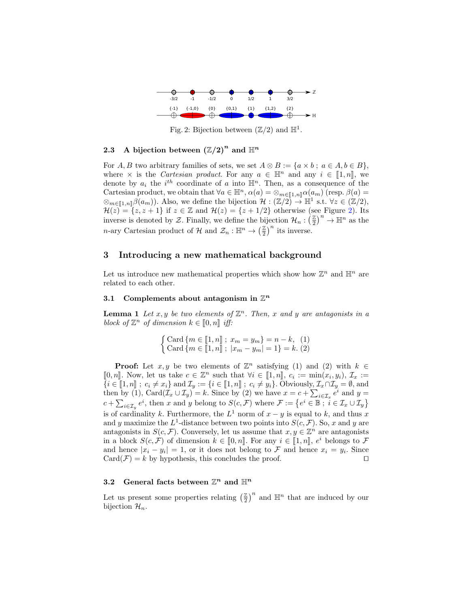<span id="page-4-1"></span>

Fig. 2: Bijection between  $(\mathbb{Z}/2)$  and  $\mathbb{H}^1$ .

# 2.3 A bijection between  $(\mathbb{Z}/2)^n$  and  $\mathbb{H}^n$

For A, B two arbitrary families of sets, we set  $A \otimes B := \{a \times b : a \in A, b \in B\},\$ where  $\times$  is the *Cartesian product*. For any  $a \in \mathbb{H}^n$  and any  $i \in [1, n]$ , we denote by  $a_i$  the  $i^{th}$  coordinate of a into  $\mathbb{H}^n$ . Then, as a consequence of the Cartesian product, we obtain that  $\forall a \in \mathbb{H}^n$ ,  $\alpha(a) = \otimes_{m \in [1,n]\!} \alpha(a_m)$  (resp.  $\beta(a) =$  $\otimes_{m\in[\![1,n]\!]} \beta(a_m)$ ). Also, we define the bijection  $\mathcal{H}: (\mathbb{Z}/2) \to \mathbb{H}^1$  s.t.  $\forall z \in (\mathbb{Z}/2)$ ,<br> $\mathcal{H}(z) = \{z, z+1\}$  if  $z \in \mathbb{Z}$  and  $\mathcal{H}(z) = \{z+1/2\}$  athenwise (see Figure 2). Its  $\mathcal{H}(z) = \{z, z + 1\}$  if  $z \in \mathbb{Z}$  and  $\mathcal{H}(z) = \{z + 1/2\}$  otherwise (see Figure [2\)](#page-4-1). Its inverse is denoted by Z. Finally, we define the bijection  $\mathcal{H}_n : \left(\frac{\mathbb{Z}}{2}\right)$  $(\frac{\mathbb{Z}}{2})^n \to \mathbb{H}^n$  as the *n*-ary Cartesian product of H and  $\mathcal{Z}_n : \mathbb{H}^n \to (\frac{\mathbb{Z}}{2})^n$  $\left(\frac{\mathbb{Z}}{2}\right)^n$  its inverse.

### <span id="page-4-0"></span>3 Introducing a new mathematical background

Let us introduce new mathematical properties which show how  $\mathbb{Z}^n$  and  $\mathbb{H}^n$  are related to each other.

# 3.1 Complements about antagonism in  $\mathbb{Z}^n$

<span id="page-4-3"></span>**Lemma 1** Let  $x, y$  be two elements of  $\mathbb{Z}^n$ . Then, x and y are antagonists in a block of  $\mathbb{Z}^n$  of dimension  $k \in [0, n]$  iff:

$$
\begin{cases} \text{Card } \{m \in [\![1,n]\!]; x_m = y_m \} = n - k, & (1) \\ \text{Card } \{m \in [\![1,n]\!]; | x_m - y_m| = 1 \} = k. & (2) \end{cases}
$$

**Proof:** Let  $x, y$  be two elements of  $\mathbb{Z}^n$  satisfying (1) and (2) with  $k \in \mathbb{Z}$  $[0, n]$ . Now, let us take  $c \in \mathbb{Z}^n$  such that  $\forall i \in [1, n]$ ,  $c_i := \min(x_i, y_i)$ ,  $\mathcal{I}_x :=$ <br> $\{i \in \mathbb{Z}^1, n\}$ ,  $c_i \neq x_i$ , and  $\mathcal{T}_i := \{i \in \mathbb{Z}^1, n\}$ ,  $c_i \neq y_i$ , Obviously  $\mathcal{T}_i \cap \mathcal{T}_i = \emptyset$  and  $\{i \in [\![1,n]\!] : c_i \neq x_i\}$  and  $\mathcal{I}_y := \{i \in [\![1,n]\!] : c_i \neq y_i\}$ . Obviously,  $\mathcal{I}_x \cap \mathcal{I}_y = \emptyset$ , and then by (1), Card( $\mathcal{I}_x \cup \mathcal{I}_y$ ) = k. Since by (2) we have  $x = c + \sum_{i \in \mathcal{I}_x} e^i$  and  $y =$  $c + \sum_{i \in \mathcal{I}_y} e^i$ , then x and y belong to  $S(c, \mathcal{F})$  where  $\mathcal{F} := \{ e^i \in \mathbb{B} \; \text{if} \; i \in \mathcal{I}_x \cup \mathcal{I}_y \}$ is of cardinality k. Furthermore, the  $L^1$  norm of  $x - y$  is equal to k, and thus x and y maximize the  $L^1$ -distance between two points into  $S(c, \mathcal{F})$ . So, x and y are antagonists in  $S(c, \mathcal{F})$ . Conversely, let us assume that  $x, y \in \mathbb{Z}^n$  are antagonists in a block  $S(c, \mathcal{F})$  of dimension  $k \in [0, n]$ . For any  $i \in [1, n]$ ,  $e^i$  belongs to  $\mathcal{F}$ <br>and hance  $|x_i - y_j| = 1$ , or it does not belong to  $\mathcal{F}$  and hance  $x_i - y_j$ . Since and hence  $|x_i - y_i| = 1$ , or it does not belong to F and hence  $x_i = y_i$ . Since  $Card(\mathcal{F})=k$  by hypothesis, this concludes the proof.  $\square$ 

# 3.2 General facts between  $\mathbb{Z}^n$  and  $\mathbb{H}^n$

<span id="page-4-2"></span>Let us present some properties relating  $\left(\frac{\mathbb{Z}}{2}\right)$  $\left(\frac{\mathbb{Z}}{2}\right)^n$  and  $\mathbb{H}^n$  that are induced by our bijection  $\mathcal{H}_n$ .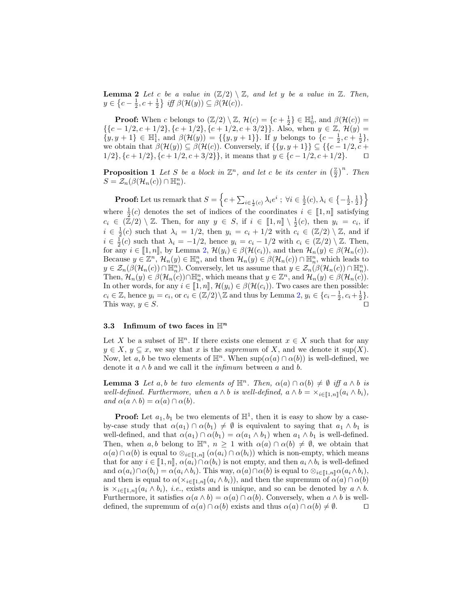**Lemma 2** Let c be a value in  $(\mathbb{Z}/2) \setminus \mathbb{Z}$ , and let y be a value in  $\mathbb{Z}$ . Then,  $y \in \left\{c - \frac{1}{2}, c + \frac{1}{2}\right\}$  iff  $\beta(\mathcal{H}(y)) \subseteq \beta(\mathcal{H}(c)).$ 

**Proof:** When c belongs to  $(\mathbb{Z}/2) \setminus \mathbb{Z}$ ,  $\mathcal{H}(c) = \{c + \frac{1}{2}\} \in \mathbb{H}_0^1$ , and  $\beta(\mathcal{H}(c)) =$ 1 1001. When c belongs to  $(\mathbb{Z}/2)$   $(\mathbb{Z}, L(\mathbb{C}) = \{C + 2C\}$  and  $\rho(L(\mathbb{C})) =$ <br>{{c - 1/2, c + 1/2}, {c + 1/2}, {c + 1/2, c + 3/2}}. Also, when  $y \in \mathbb{Z}$ ,  $\mathcal{H}(y) =$  $\{y, y + 1\} \in \mathbb{H}_1^1$ , and  $\beta(\mathcal{H}(y)) = \{\{y, y + 1\}\}\$ . If y belongs to  $\{c - \frac{1}{2}, c + \frac{1}{2}\}\$ , we obtain that  $\beta(\mathcal{H}(y)) \subseteq \beta(\mathcal{H}(c))$ . Conversely, if  $\{\{y, y + 1\}\}\subseteq \{\{c - 1/2, c + 1\}\}\$ 1/2},  $\{c+1/2\}$ ,  $\{c+1/2, c+3/2\}$ }, it means that  $y \in \{c-1/2, c+1/2\}$ . □

<span id="page-5-2"></span>**Proposition 1** Let S be a block in  $\mathbb{Z}^n$ , and let c be its center in  $\left(\frac{\mathbb{Z}}{2}\right)$  $\left(\frac{\mathbb{Z}}{2}\right)^n$ . Then  $S = \mathcal{Z}_n(\beta(\mathcal{H}_n(c)) \cap \mathbb{H}_n^n).$ 

**Proof:** Let us remark that  $S = \left\{c + \sum_{i \in \frac{1}{2}(c)} \lambda_i e^i \; ; \; \forall i \in \frac{1}{2}(c), \lambda_i \in \left\{-\frac{1}{2}, \frac{1}{2}\right\}\right\}$ where  $\frac{1}{2}(c)$  denotes the set of indices of the coordinates  $i \in [\![1,n]\!]$  satisfying  $c_i \in (\mathbb{Z}/2) \setminus \mathbb{Z}$ . Then, for any  $y \in S$ , if  $i \in [\![1,n]\!] \setminus \frac{1}{2}(c)$ , then  $y_i = c_i$ , if  $i \in \frac{1}{2}(c)$  such that  $\lambda_i = 1/2$ , then  $y_i = c_i + 1/2$  with  $c_i \in (\mathbb{Z}/2) \setminus \mathbb{Z}$ , and if  $i \in \frac{1}{2}(c)$  such that  $\lambda_i = -1/2$ , hence  $y_i = c_i - 1/2$  with  $c_i \in (\mathbb{Z}/2) \setminus \mathbb{Z}$ . Then, for any  $i \in [1, n]$ , by Lemma [2,](#page-4-2)  $\mathcal{H}(y_i) \in \beta(\mathcal{H}(c_i))$ , and then  $\mathcal{H}_n(y) \in \beta(\mathcal{H}_n(c))$ . Because  $y \in \mathbb{Z}^n$ ,  $\mathcal{H}_n(y) \in \mathbb{H}_n^n$ , and then  $\mathcal{H}_n(y) \in \beta(\mathcal{H}_n(c)) \cap \mathbb{H}_n^n$ , which leads to  $y \in \mathcal{Z}_n(\beta(\mathcal{H}_n(c)) \cap \mathbb{H}_n^n)$ . Conversely, let us assume that  $y \in \mathcal{Z}_n(\beta(\mathcal{H}_n(c)) \cap \mathbb{H}_n^n)$ . Then,  $\mathcal{H}_n(y) \in \beta(\mathcal{H}_n(c)) \cap \mathbb{H}_n^n$ , which means that  $y \in \mathbb{Z}^n$ , and  $\mathcal{H}_n(y) \in \beta(\mathcal{H}_n(c))$ . In other words, for any  $i \in [1, n],$   $\mathcal{H}(y_i) \in \beta(\mathcal{H}(c_i))$ . Two cases are then possible:  $c_i \in \mathbb{Z}$ , hence  $y_i = c_i$ , or  $c_i \in (\mathbb{Z}/2) \setminus \mathbb{Z}$  and thus by Lemma [2,](#page-4-2)  $y_i \in \{c_i - \frac{1}{2}, c_i + \frac{1}{2}\}.$ This way,  $y \in S$ .

#### 3.3 Infimum of two faces in  $\mathbb{H}^n$

Let X be a subset of  $\mathbb{H}^n$ . If there exists one element  $x \in X$  such that for any  $y \in X, y \subseteq x$ , we say that x is the *supremum* of X, and we denote it sup(X). Now, let a, b be two elements of  $\mathbb{H}^n$ . When  $\sup(\alpha(a) \cap \alpha(b))$  is well-defined, we denote it  $a \wedge b$  and we call it the *infimum* between a and b.

<span id="page-5-0"></span>**Lemma 3** Let a, b be two elements of  $\mathbb{H}^n$ . Then,  $\alpha(a) \cap \alpha(b) \neq \emptyset$  iff  $a \wedge b$  is well-defined. Furthermore, when  $a \wedge b$  is well-defined,  $a \wedge b = \times_{i \in [\![1,n]\!]} (a_i \wedge b_i)$ , and  $\alpha(a \wedge b) = \alpha(a) \cap \alpha(b)$ .

<span id="page-5-1"></span>**Proof:** Let  $a_1, b_1$  be two elements of  $\mathbb{H}^1$ , then it is easy to show by a caseby-case study that  $\alpha(a_1) \cap \alpha(b_1) \neq \emptyset$  is equivalent to saying that  $a_1 \wedge b_1$  is well-defined, and that  $\alpha(a_1) \cap \alpha(b_1) = \alpha(a_1 \wedge b_1)$  when  $a_1 \wedge b_1$  is well-defined. Then, when a,b belong to  $\mathbb{H}^n$ ,  $n \geq 1$  with  $\alpha(a) \cap \alpha(b) \neq \emptyset$ , we obtain that  $\alpha(a) \cap \alpha(b)$  is equal to  $\otimes_{i \in \llbracket 1,n \rrbracket} (\alpha(a_i) \cap \alpha(b_i))$  which is non-empty, which means that for any  $i \in [1, n], \alpha(a_i) \cap \alpha(b_i)$  is not empty, and then  $a_i \wedge b_i$  is well-defined<br>and  $\alpha(a_i) \cap \alpha(b_i) = \alpha(a_i \wedge b_i)$ . This way  $\alpha(a) \cap \alpha(b_i)$  is equal to  $\otimes_{i} a_i \wedge \cdots \wedge (a_i \wedge b_i)$ . and  $\alpha(a_i) \cap \alpha(b_i) = \alpha(a_i \wedge b_i)$ . This way,  $\alpha(a) \cap \alpha(b)$  is equal to  $\otimes_{i \in [1,n]} \alpha(a_i \wedge b_i)$ , and then is equal to  $\alpha(\times_{i\in[\![1,n]\!]}(a_i\wedge b_i))$ , and then the supremum of  $\alpha(a)\cap\alpha(b)$ is  $\times_{i\in\llbracket 1,n\rrbracket}(a_i \wedge b_i),$  *i.e.*, exists and is unique, and so can be denoted by  $a \wedge b$ . Furthermore, it satisfies  $\alpha(a \wedge b) = \alpha(a) \cap \alpha(b)$ . Conversely, when  $a \wedge b$  is welldefined, the supremum of  $\alpha(a) \cap \alpha(b)$  exists and thus  $\alpha(a) \cap \alpha(b) \neq \emptyset$ .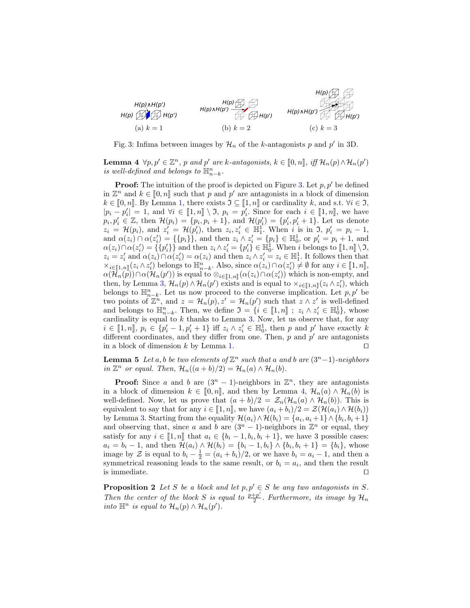<span id="page-6-0"></span>

Fig. 3: Infima between images by  $\mathcal{H}_n$  of the k-antagonists p and p' in 3D.

**Lemma 4**  $\forall p, p' \in \mathbb{Z}^n$ , p and p' are k-antagonists,  $k \in [0, n]$ , iff  $\mathcal{H}_n(p) \wedge \mathcal{H}_n(p')$ <br>is suell defined and belongs to  $\mathbb{H}^n$ is well-defined and belongs to  $\mathbb{H}^n_{n-k}$ .

**Proof:** The intuition of the proof is depicted on Figure [3.](#page-6-0) Let  $p, p'$  be defined in  $\mathbb{Z}^n$  and  $k \in [0, n]$  such that p and p' are antagonists in a block of dimension  $k \in [0, n]$ . By Lomma 1, there exists  $\mathcal{T} \subset [1, n]$  or cardinality k, and s t,  $\forall i \in \mathcal{T}$  $k \in [0, n]$ . By Lemma [1,](#page-4-3) there exists  $\mathfrak{I} \subseteq [1, n]$  or cardinality k, and s.t.  $\forall i \in \mathfrak{I}$ ,  $|p_i - p'_i| = 1$ , and  $\forall i \in [\![1, n]\!] \setminus \mathfrak{I}$ ,  $p_i = p'_i$ . Since for each  $i \in [\![1, n]\!]$ , we have  $p_i, p'_i \in \mathbb{Z}$ , then  $\mathcal{H}(p_i) = \{p_i, p_i + 1\}$ , and  $\mathcal{H}(p'_i) = \{p'_i, p'_i + 1\}$ . Let us denote  $z_i = \mathcal{H}(p_i)$ , and  $z'_i = \mathcal{H}(p'_i)$ , then  $z_i, z'_i \in \overline{\mathbb{H}}_1^1$ . When i is in  $\mathfrak{I}, p'_i = p_i - 1$ , and  $\alpha(z_i) \cap \alpha(z'_i) = {\{p_i\}}$ , and then  $z_i \wedge z'_i = {p_i} \in \mathbb{H}_0^1$ , or  $p'_i = p_i + 1$ , and  $\alpha(z_i) \cap \alpha(z'_i) = \{p'_i\}$  and then  $z_i \wedge z'_i = \{p'_i\} \in \mathbb{H}_0^1$ . When i belongs to  $[1, n] \setminus \mathfrak{I}$ ,<br> $z_i = z'_i$  and  $\alpha(z_i) \cap \alpha(z') = \alpha(z_i)$  and then  $z_i \wedge z' = z_i \in \mathbb{H}^1$ . It follows then that  $z_i = z'_i$  and  $\alpha(z_i) \cap \alpha(z'_i) = \alpha(z_i)$  and then  $z_i \wedge z'_i = z_i \in \mathbb{H}_1^1$ . It follows then that  $\times_{i\in[\![1,n]\!]}(z_i\wedge z'_i)$  belongs to  $\mathbb{H}_{n-k}^n$ . Also, since  $\alpha(z_i)\cap \alpha(z'_i)\neq \emptyset$  for any  $i\in[\![1,n]\!]$ ,  $\alpha(\mathcal{U}(n))\cap \alpha(\mathcal{U}(n'))$  is caugh to  $\otimes_{i\in[\![1,n]\!]}(z_i\wedge \Omega(\alpha'))$  which is non-empty and  $\alpha(\mathcal{H}_n(\vec{p})) \cap \alpha(\mathcal{H}_n(\vec{p}'))$  is equal to  $\otimes_{i \in [\![1,n]\!]} (\alpha(z_i) \cap \alpha(z'_i))$  which is non-empty, and then, by Lemma [3,](#page-5-0)  $\mathcal{H}_n(p) \wedge \mathcal{H}_n(p')$  exists and is equal to  $\times_{i \in [\![1,n]\!]} (z_i \wedge z'_i)$ , which belongs to  $\mathbb{H}_{n-k}^n$ . Let us now proceed to the converse implication. Let p, p' be two points of  $\mathbb{Z}^n$ , and  $z = \mathcal{H}_n(p), z' = \mathcal{H}_n(p')$  such that  $z \wedge z'$  is well-defined and belongs to  $\mathbb{H}_{n-k}^n$ . Then, we define  $\mathfrak{I} = \{i \in [\![1,n]\!] : z_i \wedge z'_i \in \mathbb{H}_0^1\}$ , whose<br>cardinality is equal to k thanks to Lemma 3. Now, let us observe that, for any cardinality is equal to  $k$  thanks to Lemma [3.](#page-5-0) Now, let us observe that, for any  $i \in [1, n]$ ,  $p_i \in \{p'_i - 1, p'_i + 1\}$  iff  $z_i \wedge z'_i \in \mathbb{H}_0^1$ , then p and p' have exactly k<br>different coordinates, and they differ from one. Then n and n' are antagonists different coordinates, and they differ from one. Then,  $p$  and  $p'$  are antagonists in a block of dimension k by Lemma [1.](#page-4-3)  $\Box$ 

<span id="page-6-1"></span>**Lemma 5** Let a, b be two elements of  $\mathbb{Z}^n$  such that a and b are  $(3^n-1)$ -neighbors in  $\mathbb{Z}^n$  or equal. Then,  $\mathcal{H}_n((a+b)/2) = \mathcal{H}_n(a) \wedge \mathcal{H}_n(b)$ .

**Proof:** Since a and b are  $(3^n - 1)$ -neighbors in  $\mathbb{Z}^n$ , they are antagonists in a block of dimension  $k \in [0, n]$ , and then by Lemma [4,](#page-5-1)  $\mathcal{H}_n(a) \wedge \mathcal{H}_n(b)$  is well-defined. Now, let us prove that  $(a + b)/2 = \mathcal{Z}_n(\mathcal{H}_n(a) \wedge \mathcal{H}_n(b))$ . This is equivalent to say that for any  $i \in [1, n]$ , we have  $(a_i + b_i)/2 = \mathcal{Z}(\mathcal{H}(a_i) \wedge \mathcal{H}(b_i))$ by Lemma [3.](#page-5-0) Starting from the equality  $\mathcal{H}(a_i) \wedge \mathcal{H}(b_i) = \{a_i, a_i + 1\} \wedge \{b_i, b_i + 1\}$ and observing that, since a and b are  $(3<sup>n</sup> - 1)$ -neighbors in  $\mathbb{Z}^n$  or equal, they satisfy for any  $i \in [\![1,n]\!]$  that  $a_i \in \{b_i-1,b_i,b_i+1\}$ , we have 3 possible cases:<br> $a_i = b_i - 1$ , and than  $\mathcal{H}(a_i) \wedge \mathcal{H}(b_i) = \{b_i, 1, b_i\} \wedge \{b_i, b_{i+1}\} = \{b_i\}$ , where  $a_i = b_i - 1$ , and then  $\mathcal{H}(a_i) \wedge \mathcal{H}(b_i) = \{b_i - 1, b_i\} \wedge \{b_i, b_i + 1\} = \{b_i\}$ , whose image by Z is equal to  $b_i - \frac{1}{2} = (a_i + b_i)/2$ , or we have  $b_i = a_i - 1$ , and then a symmetrical reasoning leads to the same result, or  $b_i = a_i$ , and then the result is immediate.  $\Box$ 

<span id="page-6-2"></span>**Proposition 2** Let S be a block and let  $p, p' \in S$  be any two antagonists in S. Then the center of the block S is equal to  $\frac{p+p'}{2}$  $\frac{p+p}{2}$ . Furthermore, its image by  $\mathcal{H}_n$ into  $\mathbb{H}^n$  is equal to  $\mathcal{H}_n(p) \wedge \mathcal{H}_n(p')$ .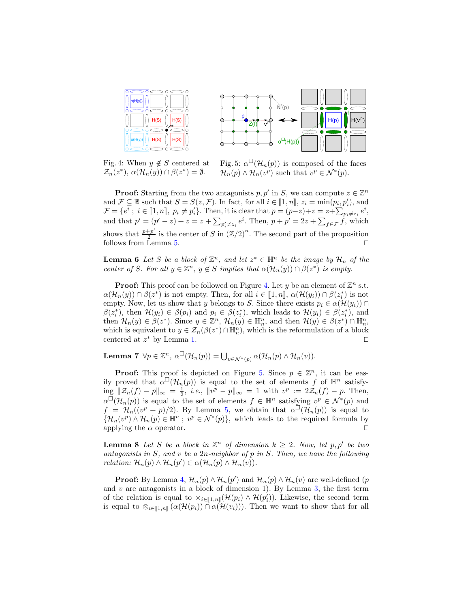<span id="page-7-0"></span>

Fig. 4: When  $y \notin S$  centered at  $\mathcal{Z}_n(z^*), \alpha(\mathcal{H}_n(y)) \cap \beta(z^*) = \emptyset.$ 

Fig. 5:  $\alpha^{\Box}(\mathcal{H}_n(p))$  is composed of the faces  $\mathcal{H}_n(p) \wedge \mathcal{H}_n(v^p)$  such that  $v^p \in \mathcal{N}^*(p)$ .

**Proof:** Starting from the two antagonists  $p, p'$  in S, we can compute  $z \in \mathbb{Z}^n$ and  $\mathcal{F} \subseteq \mathbb{B}$  such that  $S = S(z, \mathcal{F})$ . In fact, for all  $i \in [\![1, n]\!]$ ,  $z_i = \min(p_i, p'_i)$ , and  $\mathcal{F} = \{e^{i} : i \in [\![1, n]\!]$ ,  $n_i \neq n'$ . Then, it is clear that  $n = (n - z) + z = z + \sum_{i=1}^{n} e^{i}$  $\mathcal{F} = \{e^i : i \in [\![1,n]\!], p_i \neq p'_i\}.$  Then, it is clear that  $p = (p-z)+z = z+\sum_{p_i \neq z_i} e^i,$ and that  $p' = (p' - z) + z = z + \sum_{p'_i \neq z_i} e^i$ . Then,  $p + p' = 2z + \sum_{f \in \mathcal{F}} f$ , which shows that  $\frac{p+p'}{2}$  $\frac{1+p'}{2}$  is the center of S in  $(\mathbb{Z}/2)^n$ . The second part of the proposition follows from Lemma [5.](#page-6-1)  $\Box$ 

<span id="page-7-3"></span>**Lemma 6** Let S be a block of  $\mathbb{Z}^n$ , and let  $z^* \in \mathbb{H}^n$  be the image by  $\mathcal{H}_n$  of the center of S. For all  $y \in \mathbb{Z}^n$ ,  $y \notin S$  implies that  $\alpha(\mathcal{H}_n(y)) \cap \beta(z^*)$  is empty.

**Proof:** This proof can be followed on Figure [4.](#page-7-0) Let y be an element of  $\mathbb{Z}^n$  s.t.  $\alpha(\mathcal{H}_n(y)) \cap \beta(z^*)$  is not empty. Then, for all  $i \in [\![1,n]\!], \alpha(\mathcal{H}(y_i)) \cap \beta(z_i^*)$  is not<br>empty. Now, let us show that u belongs to S. Since there exists  $x_i \in \alpha(\mathcal{H}(y_i)) \cap$ empty. Now, let us show that y belongs to S. Since there exists  $p_i \in \alpha(\mathcal{H}(y_i)) \cap$  $\beta(z_i^*)$ , then  $\mathcal{H}(y_i) \in \beta(p_i)$  and  $p_i \in \beta(z_i^*)$ , which leads to  $\mathcal{H}(y_i) \in \beta(z_i^*)$ , and then  $\mathcal{H}_n(y) \in \beta(z^*)$ . Since  $y \in \mathbb{Z}^n$ ,  $\mathcal{H}_n(y) \in \mathbb{H}_n^n$ , and then  $\mathcal{H}(y) \in \beta(z^*) \cap \mathbb{H}_n^n$ , which is equivalent to  $y \in \mathcal{Z}_n(\beta(z^*) \cap \mathbb{H}_n^n)$ , which is the reformulation of a block centered at  $z^*$  by Lemma [1.](#page-5-2)  $\Box$ 

<span id="page-7-2"></span>**Lemma 7**  $\forall p \in \mathbb{Z}^n$ ,  $\alpha^{\Box}(\mathcal{H}_n(p)) = \bigcup_{v \in \mathcal{N}^*(p)} \alpha(\mathcal{H}_n(p) \wedge \mathcal{H}_n(v)).$ 

**Proof:** This proof is depicted on Figure [5.](#page-7-0) Since  $p \in \mathbb{Z}^n$ , it can be easily proved that  $\alpha^{\Box}(\mathcal{H}_n(p))$  is equal to the set of elements f of  $\mathbb{H}^n$  satisfy- $\lim_{n \to \infty} ||\mathcal{Z}_n(f) - p||_{\infty} = \frac{1}{2}, \ i.e., \ ||v^p - p||_{\infty} = 1 \ \text{with} \ \ v^p := 2\mathcal{Z}_n(f) - p. \ \text{Then,}$  $\alpha^{\Box}(\mathcal{H}_n(p))$  is equal to the set of elements  $f \in \mathbb{H}^n$  satisfying  $v^p \in \mathcal{N}^*(p)$  and  $f = \mathcal{H}_n((v^p + p)/2)$ . By Lemma [5,](#page-6-1) we obtain that  $\alpha^{\Box}(\mathcal{H}_n(p))$  is equal to  $\{\mathcal{H}_n(v^p) \wedge \mathcal{H}_n(p) \in \mathbb{H}^n \; ; \; v^p \in \mathcal{N}^*(p)\}\$ , which leads to the required formula by applying the  $\alpha$  operator.

<span id="page-7-1"></span>**Lemma 8** Let S be a block in  $\mathbb{Z}^n$  of dimension  $k \geq 2$ . Now, let  $p, p'$  be two antagonists in  $S$ , and  $v$  be a  $2n$ -neighbor of  $p$  in  $S$ . Then, we have the following relation:  $\mathcal{H}_n(p) \wedge \mathcal{H}_n(p') \in \alpha(\mathcal{H}_n(p) \wedge \mathcal{H}_n(v)).$ 

**Proof:** By Lemma [4,](#page-5-1)  $\mathcal{H}_n(p) \wedge \mathcal{H}_n(p')$  and  $\mathcal{H}_n(p) \wedge \mathcal{H}_n(v)$  are well-defined (*p* and  $v$  are antagonists in a block of dimension 1). By Lemma [3,](#page-5-0) the first term of the relation is equal to  $\times_{i\in[\![1,n]\!]}(\mathcal{H}(p_i) \wedge \mathcal{H}(p'_i))$ . Likewise, the second term is equal to  $\otimes_{i\in\llbracket 1,n\rrbracket} (\alpha(\mathcal{H}(p_i)) \cap \alpha(\mathcal{H}(v_i)))$ . Then we want to show that for all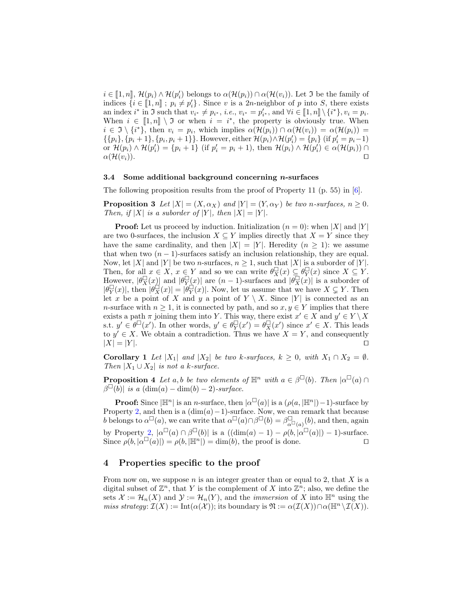$i \in [\![1,n]\!], \mathcal{H}(p_i) \wedge \mathcal{H}(p'_i)$  belongs to  $\alpha(\mathcal{H}(p_i)) \cap \alpha(\mathcal{H}(v_i))$ . Let  $\Im$  be the family of indices  $[i] \in [\![1,n]\!]$ ,  $n \neq n'$ , Since it is a 2n poirbbor of n into S, there exists indices  $\{i \in [\![1,n]\!]; p_i \neq p'_i\}$ . Since v is a  $2n$ -neighbor of p into S, there exists an index  $i^*$  in  $\Im$  such that  $v_{i^*} \neq p_{i^*}, i.e., v_{i^*} = p'_{i^*}, \text{ and } \forall i \in [\![1,n]\!] \setminus \{i^*\}, v_i = p_i.$  $\mathbf{v}'_{i^*}$ , and  $\forall i \in [\![1,n]\!] \setminus \{i\}$ When  $i \in [1, n] \setminus \mathfrak{I}$  or when  $i = i^*$ , the property is obviously true. When  $i \in \mathfrak{I} \setminus \{i^*\}$  then  $v_i = n$ , which implies  $\alpha(\mathcal{H}(n_i)) \cap \alpha(\mathcal{H}(n_i)) = \alpha(\mathcal{H}(n_i)) = \alpha(\mathcal{H}(n_i)$  $i \in \mathfrak{I} \setminus \{i^*\},\$  then  $v_i = p_i$ , which implies  $\alpha(\mathcal{H}(p_i)) \cap \alpha(\mathcal{H}(v_i)) = \alpha(\mathcal{H}(p_i)) =$  $\{\{p_i\}, \{p_i+1\}, \{p_i, p_i+1\}\}\.$  However, either  $\mathcal{H}(p_i) \wedge \mathcal{H}(p'_i) = \{p_i\}$  (if  $p'_i = p_i - 1$ ) or  $\mathcal{H}(p_i) \wedge \mathcal{H}(p'_i) = \{p_i + 1\}$  (if  $p'_i = p_i + 1$ ), then  $\mathcal{H}(p_i) \wedge \mathcal{H}(p'_i) \in \alpha(\mathcal{H}(p_i)) \cap$  $\alpha(\mathcal{H}(v_i)).$ 

### 3.4 Some additional background concerning  $n$ -surfaces

The following proposition results from the proof of Property 11 (p. 55) in [\[6\]](#page-11-12).

**Proposition 3** Let  $|X| = (X, \alpha_X)$  and  $|Y| = (Y, \alpha_Y)$  be two n-surfaces,  $n \geq 0$ . Then, if |X| is a suborder of |Y|, then  $|X| = |Y|$ .

**Proof:** Let us proceed by induction. Initialization  $(n = 0)$ : when |X| and |Y| are two 0-surfaces, the inclusion  $X \subseteq Y$  implies directly that  $X = Y$  since they have the same cardinality, and then  $|X| = |Y|$ . Heredity  $(n \geq 1)$ : we assume that when two  $(n - 1)$ -surfaces satisfy an inclusion relationship, they are equal. Now, let |X| and |Y| be two *n*-surfaces,  $n \geq 1$ , such that |X| is a suborder of |Y|. Then, for all  $x \in X$ ,  $x \in Y$  and so we can write  $\theta_X^{\square}(x) \subseteq \theta_Y^{\square}(x)$  since  $X \subseteq Y$ . However,  $|\theta_X^{\Box}(x)|$  and  $|\theta_Y^{\Box}(x)|$  are  $(n-1)$ -surfaces and  $|\theta_X^{\Box}(x)|$  is a suborder of  $|\theta_Y^{\Box}(x)|$ , then  $|\theta_X^{\Box}(x)| = |\theta_Y^{\Box}(x)|$ . Now, let us assume that we have  $X \subsetneq Y$ . Then let x be a point of X and y a point of  $Y \setminus X$ . Since |Y| is connected as an n-surface with  $n \geq 1$ , it is connected by path, and so  $x, y \in Y$  implies that there exists a path  $\pi$  joining them into Y. This way, there exist  $x' \in X$  and  $y' \in Y \setminus X$ s.t.  $y' \in \theta^{\square}(x')$ . In other words,  $y' \in \theta^{\square}_{Y}(x') = \theta^{\square}_{X}(x')$  since  $x' \in X$ . This leads to  $y' \in X$ . We obtain a contradiction. Thus we have  $X = Y$ , and consequently  $|X| = |Y|$ .

<span id="page-8-3"></span>**Corollary 1** Let  $|X_1|$  and  $|X_2|$  be two k-surfaces,  $k \geq 0$ , with  $X_1 \cap X_2 = \emptyset$ . Then  $|X_1 \cup X_2|$  is not a k-surface.

<span id="page-8-2"></span>**Proposition 4** Let a, b be two elements of  $\mathbb{H}^n$  with  $a \in \beta^{\square}(b)$ . Then  $|\alpha^{\square}(a) \cap$  $\beta^{\Box}(\tilde{b})$  is a  $(\dim(a) - \dim(b) - 2)$ -surface.

**Proof:** Since  $|\mathbb{H}^n|$  is an *n*-surface, then  $|\alpha^{\Box}(a)|$  is a  $(\rho(a, |\mathbb{H}^n|)-1)$ -surface by Property [2,](#page-3-0) and then is a  $(\dim(a)-1)$ -surface. Now, we can remark that because b belongs to  $\alpha^{\Box}(a)$ , we can write that  $\alpha^{\Box}(a) \cap \beta^{\Box}(b) = \beta^{\Box}_{\alpha^{\Box}(a)}(b)$ , and then, again by Property [2,](#page-3-0)  $|\alpha^{\Box}(a) \cap \beta^{\Box}(b)|$  is a  $((\dim(a) - 1) - \rho(b, |\alpha^{\Box}(a)|) - 1)$ -surface. Since  $\rho(b, |\alpha^{\Box}(a)|) = \rho(b, |\mathbb{H}^{n}|) = \dim(b)$ , the proof is done.

### <span id="page-8-0"></span>4 Properties specific to the proof

<span id="page-8-1"></span>From now on, we suppose  $n$  is an integer greater than or equal to 2, that  $X$  is a digital subset of  $\mathbb{Z}^n$ , that Y is the complement of X into  $\mathbb{Z}^n$ ; also, we define the sets  $\mathcal{X} := \mathcal{H}_n(X)$  and  $\mathcal{Y} := \mathcal{H}_n(Y)$ , and the *immersion* of X into  $\mathbb{H}^n$  using the *miss strategy*:  $\mathcal{I}(X) := \text{Int}(\alpha(\mathcal{X}))$ ; its boundary is  $\mathfrak{N} := \alpha(\mathcal{I}(X)) \cap \alpha(\mathbb{H}^n \setminus \mathcal{I}(X))$ .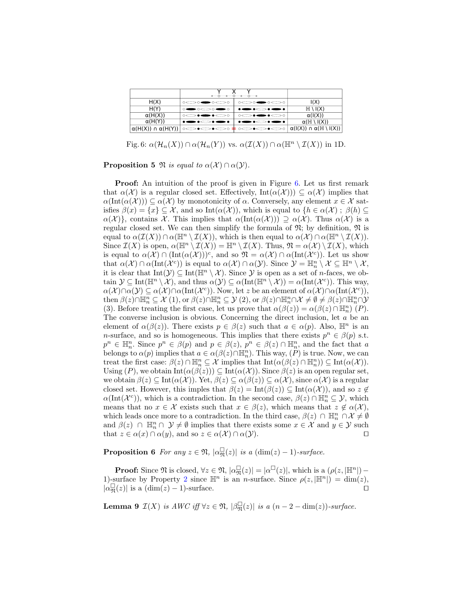<span id="page-9-0"></span>

|                                  | $\circ$ -0 -0 -0 -0 -0 $\circ$                 |                                                          |                                                                                                                                                                                                      |
|----------------------------------|------------------------------------------------|----------------------------------------------------------|------------------------------------------------------------------------------------------------------------------------------------------------------------------------------------------------------|
| H(X)                             | $\circ \circ \bullet \circ \circ \circ$        | $\circ \circ \bullet \circ \circ \circ$                  | I(X)                                                                                                                                                                                                 |
| H(Y)                             | $\circ \bullet \circ \bullet \bullet$          |                                                          | $H \setminus I(X)$                                                                                                                                                                                   |
| $\alpha(H(X))$                   | $\circ\!\!-\!\!-\!\!-\!\!-\!\!-\!\!-\!\!-\!\!$ | $\circ\!\!-\!\!-\!\!-\!\!-\!\!-\!\!-\!\!-\!\!-\!\!-\!\!$ | $\alpha(I(X))$                                                                                                                                                                                       |
| $\alpha(H(Y))$                   |                                                |                                                          | $\alpha$ (H \ I(X))                                                                                                                                                                                  |
| $\alpha(H(X)) \cap \alpha(H(Y))$ |                                                |                                                          | $\circ \infty \bullet \infty \bullet \circ \bullet \bullet \infty \bullet \infty \bullet \infty \circ   \alpha( \mathsf{I}(\mathsf{X}) ) \cap \alpha( \mathbb{H} \setminus \mathsf{I}(\mathsf{X}) )$ |

Fig. 6:  $\alpha(\mathcal{H}_n(X)) \cap \alpha(\mathcal{H}_n(Y))$  vs.  $\alpha(\mathcal{I}(X)) \cap \alpha(\mathbb{H}^n \setminus \mathcal{I}(X))$  in 1D.

**Proposition 5**  $\mathfrak{N}$  is equal to  $\alpha(\mathcal{X}) \cap \alpha(\mathcal{Y})$ .

**Proof:** An intuition of the proof is given in Figure [6.](#page-9-0) Let us first remark that  $\alpha(\mathcal{X})$  is a regular closed set. Effectively,  $\text{Int}(\alpha(\mathcal{X})) \subseteq \alpha(\mathcal{X})$  implies that  $\alpha(\text{Int}(\alpha(\mathcal{X}))) \subseteq \alpha(\mathcal{X})$  by monotonicity of  $\alpha$ . Conversely, any element  $x \in \mathcal{X}$  satisfies  $\beta(x) = \{x\} \subseteq \mathcal{X}$ , and so Int $(\alpha(\mathcal{X}))$ , which is equal to  $\{h \in \alpha(\mathcal{X})\; ; \; \beta(h) \subseteq$  $\alpha(\mathcal{X})\},\$  contains X. This implies that  $\alpha(\text{Int}(\alpha(\mathcal{X})))\supseteq \alpha(\mathcal{X})$ . Thus  $\alpha(\mathcal{X})$  is a regular closed set. We can then simplify the formula of  $\mathfrak{N}$ ; by definition,  $\mathfrak{N}$  is equal to  $\alpha(\mathcal{I}(X)) \cap \alpha(\mathbb{H}^n \setminus \mathcal{I}(X))$ , which is then equal to  $\alpha(\mathcal{X}) \cap \alpha(\mathbb{H}^n \setminus \mathcal{I}(X))$ . Since  $\mathcal{I}(X)$  is open,  $\alpha(\mathbb{H}^n \setminus \mathcal{I}(X)) = \mathbb{H}^n \setminus \mathcal{I}(X)$ . Thus,  $\mathfrak{N} = \alpha(\mathcal{X}) \setminus \mathcal{I}(X)$ , which is equal to  $\alpha(\mathcal{X}) \cap (\text{Int}(\alpha(\mathcal{X})))^c$ , and so  $\mathfrak{N} = \alpha(\mathcal{X}) \cap \alpha(\text{Int}(\mathcal{X}^c))$ . Let us show that  $\alpha(\mathcal{X}) \cap \alpha(\text{Int}(\mathcal{X}^c))$  is equal to  $\alpha(\mathcal{X}) \cap \alpha(\mathcal{Y})$ . Since  $\mathcal{Y} = \mathbb{H}_n^n \setminus \mathcal{X} \subseteq \mathbb{H}^n \setminus \mathcal{X}$ , it is clear that  $Int(\mathcal{Y}) \subseteq Int(\mathbb{H}^n \setminus \mathcal{X})$ . Since  $\mathcal{Y}$  is open as a set of *n*-faces, we obtain  $\mathcal{Y} \subseteq \text{Int}(\mathbb{H}^n \setminus \mathcal{X})$ , and thus  $\alpha(\mathcal{Y}) \subseteq \alpha(\text{Int}(\mathbb{H}^n \setminus \mathcal{X})) = \alpha(\text{Int}(\mathcal{X}^c))$ . This way,  $\alpha(\mathcal{X}) \cap \alpha(\mathcal{Y}) \subseteq \alpha(\mathcal{X}) \cap \alpha(\text{Int}(\mathcal{X}^c))$ . Now, let z be an element of  $\alpha(\mathcal{X}) \cap \alpha(\text{Int}(\mathcal{X}^c))$ ,  $\text{then } \beta(z) \cap \mathbb{H}_n^n \subseteq \mathcal{X}(1), \text{ or } \beta(z) \cap \mathbb{H}_n^n \subseteq \mathcal{Y}(2), \text{ or } \beta(z) \cap \mathbb{H}_n^n \cap \mathcal{X} \neq \emptyset \neq \beta(z) \cap \mathbb{H}_n^n \cap \mathcal{Y}$ (3). Before treating the first case, let us prove that  $\alpha(\beta(z)) = \alpha(\beta(z) \cap \mathbb{H}_n^n)(P)$ . The converse inclusion is obvious. Concerning the direct inclusion, let a be an element of  $\alpha(\beta(z))$ . There exists  $p \in \beta(z)$  such that  $a \in \alpha(p)$ . Also,  $\mathbb{H}^n$  is an n-surface, and so is homogeneous. This implies that there exists  $p^n \in \beta(p)$  s.t.  $p^n \in \mathbb{H}_n^n$ . Since  $p^n \in \beta(p)$  and  $p \in \beta(z)$ ,  $p^n \in \beta(z) \cap \mathbb{H}_n^n$ , and the fact that a belongs to  $\alpha(p)$  implies that  $a \in \alpha(\beta(z) \cap \mathbb{H}_n^n)$ . This way,  $(P)$  is true. Now, we can treat the first case:  $\beta(z) \cap \mathbb{H}_n^n \subseteq \mathcal{X}$  implies that  $\mathrm{Int}(\alpha(\beta(z) \cap \mathbb{H}_n^n)) \subseteq \mathrm{Int}(\alpha(\mathcal{X}))$ . Using  $(P)$ , we obtain  $Int(\alpha(\beta(z))) \subseteq Int(\alpha(\mathcal{X}))$ . Since  $\beta(z)$  is an open regular set, we obtain  $\beta(z) \subseteq \text{Int}(\alpha(\mathcal{X}))$ . Yet,  $\beta(z) \subseteq \alpha(\beta(z)) \subseteq \alpha(\mathcal{X})$ , since  $\alpha(\mathcal{X})$  is a regular closed set. However, this imples that  $\beta(z) = \text{Int}(\beta(z)) \subseteq \text{Int}(\alpha(\mathcal{X}))$ , and so  $z \notin$  $\alpha(\text{Int}(\mathcal{X}^c))$ , which is a contradiction. In the second case,  $\beta(z) \cap \mathbb{H}_n^n \subseteq \mathcal{Y}$ , which means that no  $x \in \mathcal{X}$  exists such that  $x \in \beta(z)$ , which means that  $z \notin \alpha(\mathcal{X})$ , which leads once more to a contradiction. In the third case,  $\beta(z) \cap \mathbb{H}_n^n \cap \mathcal{X} \neq \emptyset$ and  $\beta(z)$   $\cap$   $\mathbb{H}_n^n$   $\cap$   $\mathcal{Y} \neq \emptyset$  implies that there exists some  $x \in \mathcal{X}$  and  $y \in \mathcal{Y}$  such that  $z \in \alpha(x) \cap \alpha(y)$ , and so  $z \in \alpha(\mathcal{X}) \cap \alpha(\mathcal{Y})$ .

<span id="page-9-1"></span>**Proposition 6** For any  $z \in \mathfrak{N}$ ,  $|\alpha_{\mathfrak{N}}^{\square}(z)|$  is a  $(\dim(z) - 1)$ -surface.

**Proof:** Since  $\mathfrak{N}$  is closed,  $\forall z \in \mathfrak{N}, |\alpha_{\mathfrak{N}}^{\square}(z)| = |\alpha^{\square}(z)|$ , which is a  $(\rho(z, |\mathbb{H}^n|) -$ 1)-surface by Property [2](#page-3-0) since  $\mathbb{H}^n$  is an *n*-surface. Since  $\rho(z, |\mathbb{H}^n|) = \dim(z)$ ,  $|\alpha_{\mathfrak{N}}^{\square}(z)|$  is a  $(\dim(z) - 1)$ -surface.

<span id="page-9-2"></span>**Lemma 9**  $\mathcal{I}(X)$  is  $AWC$  iff  $\forall z \in \mathfrak{N}, |\beta_{\mathfrak{N}}^{\square}(z)|$  is a  $(n-2-\dim(z))$ -surface.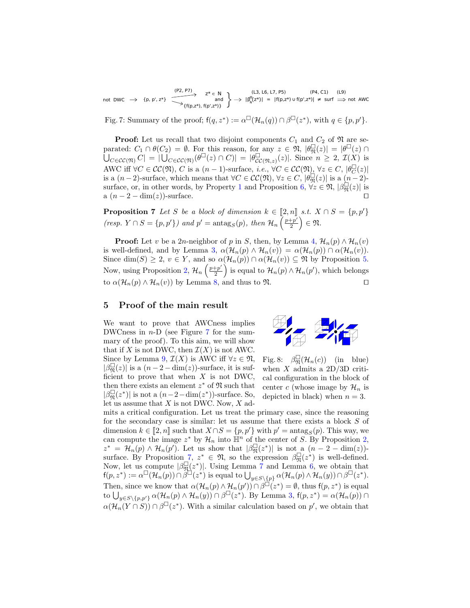<span id="page-10-1"></span>not DWC  $\rightarrow$  {p, p', z\*} and<br>{f(p,z\*), f(p',z\*)}  $|\beta_{N}^{U}(z^{*})|$  = |f(p,z\*) ∪ f(p',z\*)| ≠ surf (L3, L6, L7, P5) (P4, C1) (L9) (P2, P7)  $z^* \in N$  (L3, L6, L7, P5) (P4, C1) (L9)<br>and  $\left.\rightarrow | \beta_N^0(z^*)| = |f(p,z^*)| \cup f(p^*,z^*)| \neq \text{surf} \implies \text{not AWC}$ <br> $\left.\rightarrow |f(p,z^*)| \right| \neq 0$ 

Fig. 7: Summary of the proof;  $f(q, z^*) := \alpha^{\square}(\mathcal{H}_n(q)) \cap \beta^{\square}(z^*)$ , with  $q \in \{p, p'\}.$ 

**Proof:** Let us recall that two disjoint components  $C_1$  and  $C_2$  of  $\mathfrak{N}$  are separated:  $C_1 \cap \theta(C_2) = \emptyset$ . For this reason, for any  $z \in \mathfrak{N}, |\theta_{\mathfrak{N}}^{\square}(z)| = |\theta^{\square}(z) \cap \theta(z)|$  $\overline{\bigcup_{C \in \mathcal{CC}(\mathfrak{N})} C} = |\overline{\bigcup_{C \in \mathcal{CC}(\mathfrak{N})} (\theta^{\Box}(z) \cap C)|} = |\theta^{\Box}_{\mathcal{CC}}$  $_{\mathcal{CC}(\mathfrak{N},z)}^{\square}(z)$ . Since  $n \geq 2$ ,  $\mathcal{I}(X)$  is AWC iff  $\forall C \in CC(\mathfrak{N}), C$  is a  $(n-1)$ -surface, *i.e.*,  $\forall C \in CC(\mathfrak{N}), \forall z \in C, |\theta_C^{\square}(z)|$ is a  $(n-2)$ -surface, which means that  $\forall C \in CC(\mathfrak{N}), \forall z \in C, |\theta_{\mathfrak{N}}^{\square}(z)|$  is a  $(n-2)$ -surface, or, in other words, by Property [1](#page-3-1) and Proposition [6,](#page-9-1)  $\forall z \in \mathfrak{N}, |\beta_{\mathfrak{N}}^{\square}(z)|$  is a  $(n-2-\dim(z))$ -surface.

<span id="page-10-2"></span>**Proposition 7** Let S be a block of dimension  $k \in [2, n]$  s.t.  $X \cap S = \{p, p'\}$ (resp.  $Y \cap S = \{p, p'\}\}\$  and  $p' = \operatorname{antag}_S(p)$ , then  $\mathcal{H}_n\left(\frac{p+p'}{2}\right)$  $\left(\frac{+p'}{2}\right) \in \mathfrak{N}.$ 

**Proof:** Let v be a 2n-neighbor of p in S, then, by Lemma [4,](#page-5-1)  $\mathcal{H}_n(p) \wedge \mathcal{H}_n(v)$ is well-defined, and by Lemma [3,](#page-5-0)  $\alpha(\mathcal{H}_n(p) \wedge \mathcal{H}_n(v)) = \alpha(\mathcal{H}_n(p)) \cap \alpha(\mathcal{H}_n(v)).$ Since dim(S)  $\geq 2$ ,  $v \in Y$ , and so  $\alpha(\mathcal{H}_n(p)) \cap \alpha(\mathcal{H}_n(v)) \subseteq \mathfrak{N}$  by Proposition [5.](#page-8-1) Now, using Proposition [2,](#page-6-2)  $\mathcal{H}_n\left(\frac{p+p'}{2}\right)$  $\left(\frac{p+p'}{2}\right)$  is equal to  $\mathcal{H}_n(p) \wedge \mathcal{H}_n(p')$ , which belongs to  $\alpha(\mathcal{H}_n(p) \wedge \mathcal{H}_n(v))$  by Lemma [8,](#page-7-1) and thus to  $\mathfrak{N}$ .

### <span id="page-10-0"></span>5 Proof of the main result

We want to prove that AWCness implies DWCness in  $n-D$  (see Figure [7](#page-10-1) for the summary of the proof). To this aim, we will show that if X is not DWC, then  $\mathcal{I}(X)$  is not AWC. Since by Lemma [9,](#page-9-2)  $\mathcal{I}(X)$  is AWC iff  $\forall z \in \mathfrak{N}$ ,  $|\beta_{\mathfrak{N}}^{\square}(z)|$  is a  $(n-2-\dim(z))$ -surface, it is sufficient to prove that when  $X$  is not DWC, then there exists an element  $z^*$  of  $\mathfrak N$  such that  $|\beta^{\square}_{\mathfrak{N}}(z^*)|$  is not a  $(n-2-\dim(z^*))\text{-surface. So,}$ let us assume that  $X$  is not DWC. Now,  $X$  ad-



<span id="page-10-3"></span>Fig. 8:  $\beta_{\mathfrak{N}}^{\Box}(\mathcal{H}_n(c))$  (in blue) when  $X$  admits a 2D/3D critical configuration in the block of center c (whose image by  $\mathcal{H}_n$  is depicted in black) when  $n = 3$ .

mits a critical configuration. Let us treat the primary case, since the reasoning for the secondary case is similar: let us assume that there exists a block S of dimension  $k \in [2, n]$  such that  $X \cap S = \{p, p'\}$  with  $p' = \operatorname{antag}_S(p)$ . This way, we<br>can compute the image  $z^*$  by  $\mathcal{H}$  into  $\mathbb{H}^n$  of the center of  $S$ . By Proposition 2 can compute the image  $z^*$  by  $\mathcal{H}_n$  into  $\mathbb{H}^n$  of the center of S. By Proposition [2,](#page-6-2)  $z^* = \mathcal{H}_n(p) \wedge \mathcal{H}_n(p')$ . Let us show that  $|\beta_{\mathfrak{N}}^{\square}(z^*)|$  is not a  $(n-2-\dim(z))$ -surface. By Proposition [7,](#page-10-2)  $z^* \in \mathfrak{N}$ , so the expression  $\beta_{\mathfrak{N}}^{\square}(z^*)$  is well-defined. Now, let us compute  $|\beta_{\mathfrak{N}}^{\square}(z^*)|$ . Using Lemma [7](#page-7-2) and Lemma [6,](#page-7-3) we obtain that  $f(p,z^*) := \alpha^{\square}(\mathcal{H}_n(p)) \cap \beta^{\square}(z^*)$  is equal to  $\bigcup_{y \in S \setminus \{p\}} \alpha(\mathcal{H}_n(p) \wedge \mathcal{H}_n(y)) \cap \beta^{\square}(z^*).$ Then, since we know that  $\alpha(\mathcal{H}_n(p) \wedge \mathcal{H}_n(p')) \cap \beta^{\square}(z^*) = \emptyset$ , thus  $f(p, z^*)$  is equal to  $\bigcup_{y\in S\backslash\{p,p'\}} \alpha(H_n(p)\wedge \mathcal{H}_n(y))\cap \beta^{\square}(z^*)$ . By Lemma [3,](#page-5-0)  $f(p,z^*)=\alpha(\mathcal{H}_n(p))\cap$  $\alpha(\mathcal{H}_n(Y \cap S)) \cap \beta^{\square}(z^*)$ . With a similar calculation based on p', we obtain that